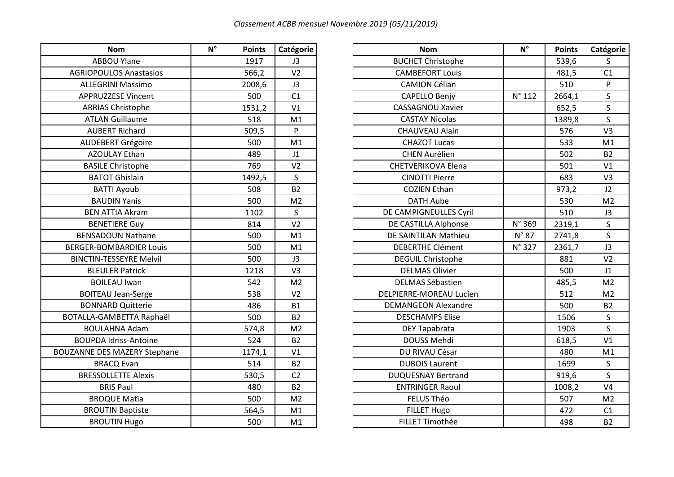| <b>Nom</b>                          | $N^{\circ}$ | <b>Points</b> | Catégorie      | <b>Nom</b>                 | $N^{\circ}$     | <b>Points</b> | Catégo         |
|-------------------------------------|-------------|---------------|----------------|----------------------------|-----------------|---------------|----------------|
| <b>ABBOU Ylane</b>                  |             | 1917          | J3             | <b>BUCHET Christophe</b>   |                 | 539,6         | $\mathsf{S}$   |
| <b>AGRIOPOULOS Anastasios</b>       |             | 566,2         | V <sub>2</sub> | <b>CAMBEFORT Louis</b>     |                 | 481,5         | C1             |
| <b>ALLEGRINI Massimo</b>            |             | 2008,6        | J3             | <b>CAMION Célian</b>       |                 | 510           | P              |
| APPRUZZESE Vincent                  |             | 500           | C1             | <b>CAPELLO Benjy</b>       | $N^{\circ}$ 112 | 2664,1        | S              |
| <b>ARRIAS Christophe</b>            |             | 1531,2        | V1             | <b>CASSAGNOU Xavier</b>    |                 | 652,5         | $\mathsf{S}$   |
| <b>ATLAN Guillaume</b>              |             | 518           | M1             | <b>CASTAY Nicolas</b>      |                 | 1389,8        | S              |
| <b>AUBERT Richard</b>               |             | 509,5         | P              | <b>CHAUVEAU Alain</b>      |                 | 576           | V <sub>3</sub> |
| <b>AUDEBERT Grégoire</b>            |             | 500           | M1             | <b>CHAZOT Lucas</b>        |                 | 533           | M1             |
| <b>AZOULAY Ethan</b>                |             | 489           | J1             | <b>CHEN Aurélien</b>       |                 | 502           | B <sub>2</sub> |
| <b>BASILE Christophe</b>            |             | 769           | V <sub>2</sub> | <b>CHETVERIKOVA Elena</b>  |                 | 501           | V <sub>1</sub> |
| <b>BATOT Ghislain</b>               |             | 1492,5        | $\mathsf{S}$   | <b>CINOTTI Pierre</b>      |                 | 683           | V <sub>3</sub> |
| <b>BATTI Ayoub</b>                  |             | 508           | <b>B2</b>      | <b>COZIEN Ethan</b>        |                 | 973,2         | J2             |
| <b>BAUDIN Yanis</b>                 |             | 500           | M <sub>2</sub> | <b>DATH Aube</b>           |                 | 530           | M <sub>2</sub> |
| <b>BEN ATTIA Akram</b>              |             | 1102          | $\mathsf{S}$   | DE CAMPIGNEULLES Cyril     |                 | 510           | J3             |
| <b>BENETIERE Guy</b>                |             | 814           | V <sub>2</sub> | DE CASTILLA Alphonse       | N° 369          | 2319,1        | S              |
| <b>BENSADOUN Nathane</b>            |             | 500           | M1             | DE SAINTILAN Mathieu       | $N^{\circ}$ 87  | 2741,8        | $\mathsf{S}$   |
| <b>BERGER-BOMBARDIER Louis</b>      |             | 500           | M1             | <b>DEBERTHE Clément</b>    | N° 327          | 2361,7        | J3             |
| <b>BINCTIN-TESSEYRE Melvil</b>      |             | 500           | J3             | <b>DEGUIL Christophe</b>   |                 | 881           | V <sub>2</sub> |
| <b>BLEULER Patrick</b>              |             | 1218          | V <sub>3</sub> | <b>DELMAS Olivier</b>      |                 | 500           | J1             |
| <b>BOILEAU Iwan</b>                 |             | 542           | M <sub>2</sub> | <b>DELMAS Sébastien</b>    |                 | 485,5         | M <sub>2</sub> |
| <b>BOITEAU Jean-Serge</b>           |             | 538           | V <sub>2</sub> | DELPIERRE-MOREAU Lucien    |                 | 512           | M <sub>2</sub> |
| <b>BONNARD Quitterie</b>            |             | 486           | <b>B1</b>      | <b>DEMANGEON Alexandre</b> |                 | 500           | <b>B2</b>      |
| BOTALLA-GAMBETTA Raphaël            |             | 500           | <b>B2</b>      | <b>DESCHAMPS Elise</b>     |                 | 1506          | S              |
| <b>BOULAHNA Adam</b>                |             | 574,8         | M <sub>2</sub> | DEY Tapabrata              |                 | 1903          | S              |
| <b>BOUPDA Idriss-Antoine</b>        |             | 524           | <b>B2</b>      | DOUSS Mehdi                |                 | 618,5         | V1             |
| <b>BOUZANNE DES MAZERY Stephane</b> |             | 1174,1        | V1             | DU RIVAU César             |                 | 480           | M <sub>1</sub> |
| <b>BRACQ Evan</b>                   |             | 514           | <b>B2</b>      | <b>DUBOIS Laurent</b>      |                 | 1699          | S              |
| <b>BRESSOLLETTE Alexis</b>          |             | 530,5         | C <sub>2</sub> | <b>DUQUESNAY Bertrand</b>  |                 | 919,6         | S              |
| <b>BRIS Paul</b>                    |             | 480           | <b>B2</b>      | <b>ENTRINGER Raoul</b>     |                 | 1008,2        | V <sub>4</sub> |
| <b>BROQUE Matïa</b>                 |             | 500           | M <sub>2</sub> | FELUS Théo                 |                 | 507           | M <sub>2</sub> |
| <b>BROUTIN Baptiste</b>             |             | 564,5         | M1             | <b>FILLET Hugo</b>         |                 | 472           | C1             |
| <b>BROUTIN Hugo</b>                 |             | 500           | M1             | FILLET Timothée            |                 | 498           | <b>B2</b>      |

| <b>Nom</b>                     | $N^{\circ}$ | <b>Points</b> | Catégorie      | <b>Nom</b>                     | $N^{\circ}$     | <b>Points</b> | Catégorie      |
|--------------------------------|-------------|---------------|----------------|--------------------------------|-----------------|---------------|----------------|
| <b>ABBOU Ylane</b>             |             | 1917          | J3             | <b>BUCHET Christophe</b>       |                 | 539,6         | S.             |
| <b>AGRIOPOULOS Anastasios</b>  |             | 566,2         | V <sub>2</sub> | <b>CAMBEFORT Louis</b>         |                 | 481,5         | C1             |
| <b>ALLEGRINI Massimo</b>       |             | 2008,6        | J3             | <b>CAMION Célian</b>           |                 | 510           | P              |
| <b>APPRUZZESE Vincent</b>      |             | 500           | C1             | <b>CAPELLO Benjy</b>           | $N^{\circ}$ 112 | 2664,1        | S.             |
| <b>ARRIAS Christophe</b>       |             | 1531,2        | V <sub>1</sub> | <b>CASSAGNOU Xavier</b>        |                 | 652,5         | $\mathsf{S}$   |
| <b>ATLAN Guillaume</b>         |             | 518           | M <sub>1</sub> | <b>CASTAY Nicolas</b>          |                 | 1389,8        | S              |
| <b>AUBERT Richard</b>          |             | 509,5         | P              | <b>CHAUVEAU Alain</b>          |                 | 576           | V <sub>3</sub> |
| <b>AUDEBERT Grégoire</b>       |             | 500           | M <sub>1</sub> | <b>CHAZOT Lucas</b>            |                 | 533           | M1             |
| <b>AZOULAY Ethan</b>           |             | 489           | J1             | <b>CHEN Aurélien</b>           |                 | 502           | B <sub>2</sub> |
| <b>BASILE Christophe</b>       |             | 769           | V <sub>2</sub> | CHETVERIKOVA Elena             |                 | 501           | V <sub>1</sub> |
| <b>BATOT Ghislain</b>          |             | 1492,5        | S              | <b>CINOTTI Pierre</b>          |                 | 683           | V <sub>3</sub> |
| <b>BATTI Ayoub</b>             |             | 508           | <b>B2</b>      | <b>COZIEN Ethan</b>            |                 | 973,2         | J2             |
| <b>BAUDIN Yanis</b>            |             | 500           | M <sub>2</sub> | <b>DATH Aube</b>               |                 | 530           | M <sub>2</sub> |
| <b>BEN ATTIA Akram</b>         |             | 1102          | $\mathsf{S}$   | DE CAMPIGNEULLES Cyril         |                 | 510           | J3             |
| <b>BENETIERE Guy</b>           |             | 814           | V <sub>2</sub> | DE CASTILLA Alphonse           | N° 369          | 2319,1        | S              |
| <b>BENSADOUN Nathane</b>       |             | 500           | M1             | DE SAINTILAN Mathieu           | $N^{\circ}$ 87  | 2741,8        | S.             |
| <b>BERGER-BOMBARDIER Louis</b> |             | 500           | M1             | <b>DEBERTHE Clément</b>        | N° 327          | 2361,7        | J3             |
| <b>BINCTIN-TESSEYRE Melvil</b> |             | 500           | J3             | <b>DEGUIL Christophe</b>       |                 | 881           | V <sub>2</sub> |
| <b>BLEULER Patrick</b>         |             | 1218          | V <sub>3</sub> | <b>DELMAS Olivier</b>          |                 | 500           | J1             |
| <b>BOILEAU Iwan</b>            |             | 542           | M <sub>2</sub> | <b>DELMAS Sébastien</b>        |                 | 485,5         | M <sub>2</sub> |
| <b>BOITEAU Jean-Serge</b>      |             | 538           | V <sub>2</sub> | <b>DELPIERRE-MOREAU Lucien</b> |                 | 512           | M <sub>2</sub> |
| <b>BONNARD Quitterie</b>       |             | 486           | <b>B1</b>      | <b>DEMANGEON Alexandre</b>     |                 | 500           | <b>B2</b>      |
| BOTALLA-GAMBETTA Raphaël       |             | 500           | <b>B2</b>      | <b>DESCHAMPS Elise</b>         |                 | 1506          | S              |
| <b>BOULAHNA Adam</b>           |             | 574,8         | M <sub>2</sub> | DEY Tapabrata                  |                 | 1903          | S              |
| <b>BOUPDA Idriss-Antoine</b>   |             | 524           | <b>B2</b>      | DOUSS Mehdi                    |                 | 618,5         | V1             |
| UZANNE DES MAZERY Stephane     |             | 1174,1        | V1             | DU RIVAU César                 |                 | 480           | M1             |
| <b>BRACQ Evan</b>              |             | 514           | <b>B2</b>      | <b>DUBOIS Laurent</b>          |                 | 1699          | S              |
| <b>BRESSOLLETTE Alexis</b>     |             | 530,5         | C <sub>2</sub> | <b>DUQUESNAY Bertrand</b>      |                 | 919,6         | S              |
| <b>BRIS Paul</b>               |             | 480           | <b>B2</b>      | <b>ENTRINGER Raoul</b>         |                 | 1008,2        | V <sub>4</sub> |
| <b>BROQUE Matïa</b>            |             | 500           | M <sub>2</sub> | FELUS Théo                     |                 | 507           | M <sub>2</sub> |
| <b>BROUTIN Baptiste</b>        |             | 564,5         | M1             | FILLET Hugo                    |                 | 472           | C1             |
| <b>BROUTIN Hugo</b>            |             | 500           | M1             | <b>FILLET Timothée</b>         |                 | 498           | <b>B2</b>      |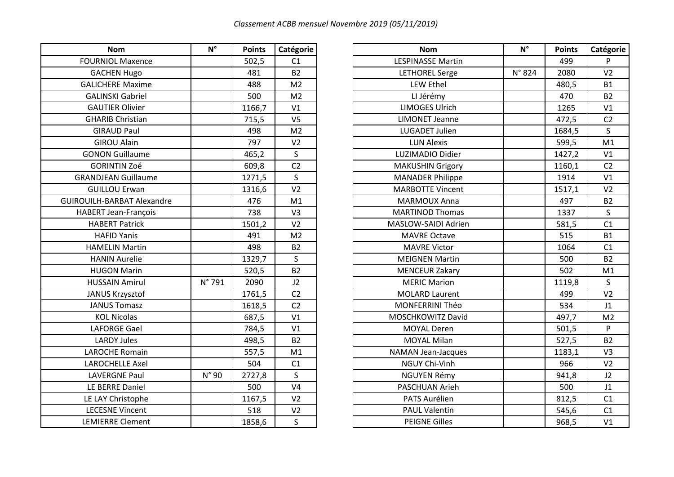| <b>Nom</b>                        | $N^{\circ}$ | <b>Points</b> | Catégorie      |
|-----------------------------------|-------------|---------------|----------------|
| <b>FOURNIOL Maxence</b>           |             | 502,5         | C1             |
| <b>GACHEN Hugo</b>                |             | 481           | B <sub>2</sub> |
| <b>GALICHERE Maxime</b>           |             | 488           | M <sub>2</sub> |
| <b>GALINSKI Gabriel</b>           |             | 500           | M <sub>2</sub> |
| <b>GAUTIER Olivier</b>            |             | 1166,7        | V <sub>1</sub> |
| <b>GHARIB Christian</b>           |             | 715,5         | V <sub>5</sub> |
| <b>GIRAUD Paul</b>                |             | 498           | M <sub>2</sub> |
| <b>GIROU Alain</b>                |             | 797           | V <sub>2</sub> |
| <b>GONON Guillaume</b>            |             | 465,2         | $\mathsf S$    |
| <b>GORINTIN Zoé</b>               |             | 609,8         | C <sub>2</sub> |
| <b>GRANDJEAN Guillaume</b>        |             | 1271,5        | $\sf S$        |
| <b>GUILLOU Erwan</b>              |             | 1316,6        | V <sub>2</sub> |
| <b>GUIROUILH-BARBAT Alexandre</b> |             | 476           | M <sub>1</sub> |
| <b>HABERT Jean-François</b>       |             | 738           | V <sub>3</sub> |
| <b>HABERT Patrick</b>             |             | 1501,2        | V <sub>2</sub> |
| <b>HAFID Yanis</b>                |             | 491           | M <sub>2</sub> |
| <b>HAMELIN Martin</b>             |             | 498           | B <sub>2</sub> |
| <b>HANIN Aurelie</b>              |             | 1329,7        | $\sf S$        |
| <b>HUGON Marin</b>                |             | 520,5         | B <sub>2</sub> |
| <b>HUSSAIN Amirul</b>             | N° 791      | 2090          | J2             |
| JANUS Krzysztof                   |             | 1761,5        | C <sub>2</sub> |
| <b>JANUS Tomasz</b>               |             | 1618,5        | C <sub>2</sub> |
| <b>KOL Nicolas</b>                |             | 687,5         | V <sub>1</sub> |
| <b>LAFORGE Gael</b>               |             | 784,5         | V <sub>1</sub> |
| <b>LARDY Jules</b>                |             | 498,5         | B <sub>2</sub> |
| <b>LAROCHE Romain</b>             |             | 557,5         | M1             |
| <b>LAROCHELLE Axel</b>            |             | 504           | C1             |
| <b>LAVERGNE Paul</b>              | N° 90       | 2727,8        | $\mathsf{S}$   |
| LE BERRE Daniel                   |             | 500           | V <sub>4</sub> |
| LE LAY Christophe                 |             | 1167,5        | V <sub>2</sub> |
| <b>LECESNE Vincent</b>            |             | 518           | V <sub>2</sub> |
| <b>LEMIERRE Clement</b>           |             | 1858,6        | $\mathsf{S}$   |

| <b>Nom</b>                        | $N^{\circ}$    | <b>Points</b> | Catégorie      | <b>Nom</b>               | $N^{\circ}$ | <b>Points</b> | Catégorie      |
|-----------------------------------|----------------|---------------|----------------|--------------------------|-------------|---------------|----------------|
| <b>FOURNIOL Maxence</b>           |                | 502,5         | C1             | <b>LESPINASSE Martin</b> |             | 499           | P.             |
| <b>GACHEN Hugo</b>                |                | 481           | <b>B2</b>      | <b>LETHOREL Serge</b>    | N° 824      | 2080          | V <sub>2</sub> |
| <b>GALICHERE Maxime</b>           |                | 488           | M <sub>2</sub> | <b>LEW Ethel</b>         |             | 480,5         | <b>B1</b>      |
| <b>GALINSKI Gabriel</b>           |                | 500           | M <sub>2</sub> | LI Jérémy                |             | 470           | <b>B2</b>      |
| <b>GAUTIER Olivier</b>            |                | 1166,7        | V1             | <b>LIMOGES Ulrich</b>    |             | 1265          | V1             |
| <b>GHARIB Christian</b>           |                | 715,5         | V <sub>5</sub> | <b>LIMONET Jeanne</b>    |             | 472,5         | C <sub>2</sub> |
| <b>GIRAUD Paul</b>                |                | 498           | M <sub>2</sub> | LUGADET Julien           |             | 1684,5        | S              |
| <b>GIROU Alain</b>                |                | 797           | V <sub>2</sub> | <b>LUN Alexis</b>        |             | 599,5         | M1             |
| <b>GONON Guillaume</b>            |                | 465,2         | S.             | LUZIMADIO Didier         |             | 1427,2        | V1             |
| <b>GORINTIN Zoé</b>               |                | 609,8         | C <sub>2</sub> | <b>MAKUSHIN Grigory</b>  |             | 1160,1        | C <sub>2</sub> |
| <b>GRANDJEAN Guillaume</b>        |                | 1271,5        | $\mathsf{S}$   | <b>MANADER Philippe</b>  |             | 1914          | V1             |
| <b>GUILLOU Erwan</b>              |                | 1316,6        | V <sub>2</sub> | <b>MARBOTTE Vincent</b>  |             | 1517,1        | V <sub>2</sub> |
| <b>GUIROUILH-BARBAT Alexandre</b> |                | 476           | M1             | <b>MARMOUX Anna</b>      |             | 497           | <b>B2</b>      |
| <b>HABERT Jean-François</b>       |                | 738           | V <sub>3</sub> | <b>MARTINOD Thomas</b>   |             | 1337          | $\mathsf{S}$   |
| <b>HABERT Patrick</b>             |                | 1501,2        | V <sub>2</sub> | MASLOW-SAIDI Adrien      |             | 581,5         | C1             |
| <b>HAFID Yanis</b>                |                | 491           | M <sub>2</sub> | <b>MAVRE Octave</b>      |             | 515           | <b>B1</b>      |
| <b>HAMELIN Martin</b>             |                | 498           | <b>B2</b>      | <b>MAVRE Victor</b>      |             | 1064          | C1             |
| <b>HANIN Aurelie</b>              |                | 1329,7        | $\mathsf{S}$   | <b>MEIGNEN Martin</b>    |             | 500           | B <sub>2</sub> |
| <b>HUGON Marin</b>                |                | 520,5         | <b>B2</b>      | <b>MENCEUR Zakary</b>    |             | 502           | M1             |
| <b>HUSSAIN Amirul</b>             | N° 791         | 2090          | J2             | <b>MERIC Marion</b>      |             | 1119,8        | S              |
| JANUS Krzysztof                   |                | 1761,5        | C <sub>2</sub> | <b>MOLARD Laurent</b>    |             | 499           | V <sub>2</sub> |
| <b>JANUS Tomasz</b>               |                | 1618,5        | C <sub>2</sub> | <b>MONFERRINI Théo</b>   |             | 534           | J1             |
| <b>KOL Nicolas</b>                |                | 687,5         | V1             | MOSCHKOWITZ David        |             | 497,7         | M <sub>2</sub> |
| <b>LAFORGE Gael</b>               |                | 784,5         | V1             | <b>MOYAL Deren</b>       |             | 501,5         | P              |
| <b>LARDY Jules</b>                |                | 498,5         | <b>B2</b>      | <b>MOYAL Milan</b>       |             | 527,5         | <b>B2</b>      |
| <b>LAROCHE Romain</b>             |                | 557,5         | M1             | NAMAN Jean-Jacques       |             | 1183,1        | V <sub>3</sub> |
| <b>LAROCHELLE Axel</b>            |                | 504           | C1             | NGUY Chi-Vinh            |             | 966           | V <sub>2</sub> |
| <b>LAVERGNE Paul</b>              | $N^{\circ}$ 90 | 2727,8        | $\mathsf{S}$   | <b>NGUYEN Rémy</b>       |             | 941,8         | J2             |
| LE BERRE Daniel                   |                | 500           | V <sub>4</sub> | PASCHUAN Arieh           |             | 500           | J1             |
| LE LAY Christophe                 |                | 1167,5        | V <sub>2</sub> | PATS Aurélien            |             | 812,5         | C1             |
| <b>LECESNE Vincent</b>            |                | 518           | V <sub>2</sub> | <b>PAUL Valentin</b>     |             | 545,6         | C1             |
| <b>LEMIERRE Clement</b>           |                | 1858,6        | S              | <b>PEIGNE Gilles</b>     |             | 968,5         | V1             |